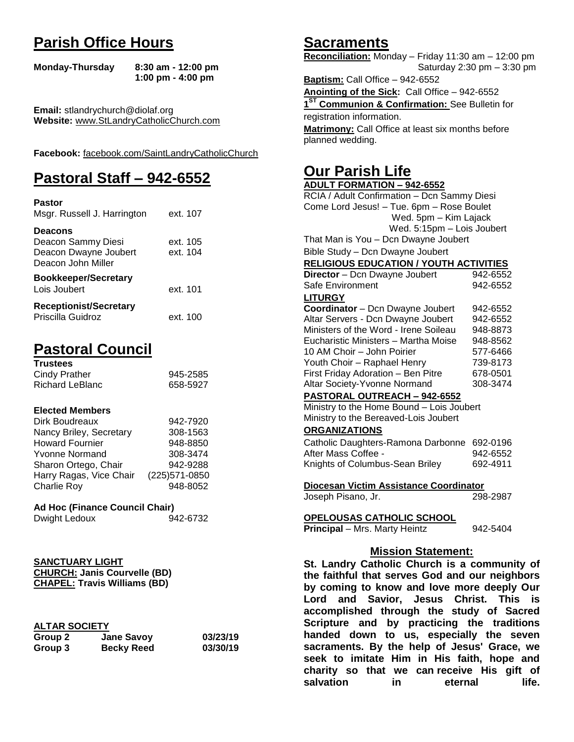## **Parish Office Hours**

```
Monday-Thursday 8:30 am - 12:00 pm
       1:00 pm - 4:00 pm
```
**Email:** stlandrychurch@diolaf.org **Website:** [www.StLandryCatholicChurch.com](http://www.stlandrycatholicchurch.com/)

**Facebook:** [facebook.com/SaintLandryCatholicChurch](http://facebook.com/SaintLandryCatholicChurch)

## **Pastoral Staff – 942-6552**

| <b>Pastor</b><br>Msgr. Russell J. Harrington                                        | ext. 107             |
|-------------------------------------------------------------------------------------|----------------------|
| <b>Deacons</b><br>Deacon Sammy Diesi<br>Deacon Dwayne Joubert<br>Deacon John Miller | ext. 105<br>ext. 104 |
| <b>Bookkeeper/Secretary</b><br>Lois Joubert                                         | ext. 101             |
| <b>Receptionist/Secretary</b><br>Priscilla Guidroz                                  | ext. 100             |

## **Pastoral Council**

| <b>Trustees</b> |          |
|-----------------|----------|
| Cindy Prather   | 945-2585 |
| Richard LeBlanc | 658-5927 |

#### **Elected Members**

| Dirk Boudreaux          | 942-7920       |
|-------------------------|----------------|
| Nancy Briley, Secretary | 308-1563       |
| <b>Howard Fournier</b>  | 948-8850       |
| <b>Yvonne Normand</b>   | 308-3474       |
| Sharon Ortego, Chair    | 942-9288       |
| Harry Ragas, Vice Chair | (225) 571-0850 |
| <b>Charlie Roy</b>      | 948-8052       |

## **Ad Hoc (Finance Council Chair)**

```
Dwight Ledoux 942-6732
```
#### **SANCTUARY LIGHT CHURCH: Janis Courvelle (BD) CHAPEL: Travis Williams (BD)**

| <b>ALTAR SOCIETY</b> |
|----------------------|
|                      |

| .       |                   |          |
|---------|-------------------|----------|
| Group 2 | <b>Jane Savoy</b> | 03/23/19 |
| Group 3 | <b>Becky Reed</b> | 03/30/19 |

## **Sacraments**

**Reconciliation:** Monday – Friday 11:30 am – 12:00 pm Saturday 2:30 pm – 3:30 pm

**Baptism:** Call Office – 942-6552 **Anointing of the Sick:** Call Office – 942-6552 **1 ST Communion & Confirmation:** See Bulletin for registration information. **Matrimony:** Call Office at least six months before planned wedding.

## **Our Parish Life**

| <b>ADULT FORMATION - 942-6552</b>                                                            |          |  |
|----------------------------------------------------------------------------------------------|----------|--|
| RCIA / Adult Confirmation - Dcn Sammy Diesi                                                  |          |  |
| Come Lord Jesus! - Tue. 6pm - Rose Boulet                                                    |          |  |
| Wed. 5pm - Kim Lajack                                                                        |          |  |
| Wed. 5:15pm - Lois Joubert                                                                   |          |  |
| That Man is You - Dcn Dwayne Joubert                                                         |          |  |
| Bible Study - Dcn Dwayne Joubert                                                             |          |  |
| <b>RELIGIOUS EDUCATION / YOUTH ACTIVITIES</b>                                                |          |  |
| <b>Director</b> - Dcn Dwayne Joubert                                                         | 942-6552 |  |
| Safe Environment                                                                             | 942-6552 |  |
| <b>LITURGY</b>                                                                               |          |  |
| Coordinator - Dcn Dwayne Joubert                                                             | 942-6552 |  |
| Altar Servers - Dcn Dwayne Joubert                                                           | 942-6552 |  |
| Ministers of the Word - Irene Soileau                                                        | 948-8873 |  |
| Eucharistic Ministers - Martha Moise                                                         | 948-8562 |  |
| 10 AM Choir - John Poirier                                                                   | 577-6466 |  |
| Youth Choir - Raphael Henry                                                                  | 739-8173 |  |
| First Friday Adoration - Ben Pitre                                                           | 678-0501 |  |
| Altar Society-Yvonne Normand                                                                 | 308-3474 |  |
| PASTORAL OUTREACH - 942-6552                                                                 |          |  |
| Ministry to the Home Bound - Lois Joubert                                                    |          |  |
| Ministry to the Bereaved-Lois Joubert                                                        |          |  |
| <b>ORGANIZATIONS</b>                                                                         |          |  |
| Catholic Daughters-Ramona Darbonne                                                           | 692-0196 |  |
| After Mass Coffee -                                                                          | 942-6552 |  |
| Knights of Columbus-Sean Briley                                                              | 692-4911 |  |
| Diocesan Victim Assistance Coordinator                                                       |          |  |
| Joseph Pisano, Jr.                                                                           | 298-2987 |  |
|                                                                                              |          |  |
| <b>OPELOUSAS CATHOLIC SCHOOL</b>                                                             |          |  |
| Principal - Mrs. Marty Heintz                                                                | 942-5404 |  |
| <b>Mission Statement:</b>                                                                    |          |  |
| St. Landry Catholic Church is a community of                                                 |          |  |
|                                                                                              |          |  |
| the faithful that serves God and our neighbors<br>by coming to know and love more deeply Our |          |  |
| and Savior, Jesus Christ. This                                                               |          |  |
| Lord                                                                                         | is       |  |
| accomplished through the study of Sacred                                                     |          |  |
| Scrinture and hy nracticing the traditions                                                   |          |  |

**accomplished through the study of Sacred Scripture and by practicing the traditions handed down to us, especially the seven sacraments. By the help of Jesus' Grace, we seek to imitate Him in His faith, hope and charity so that we can receive His gift of salvation** in eternal life.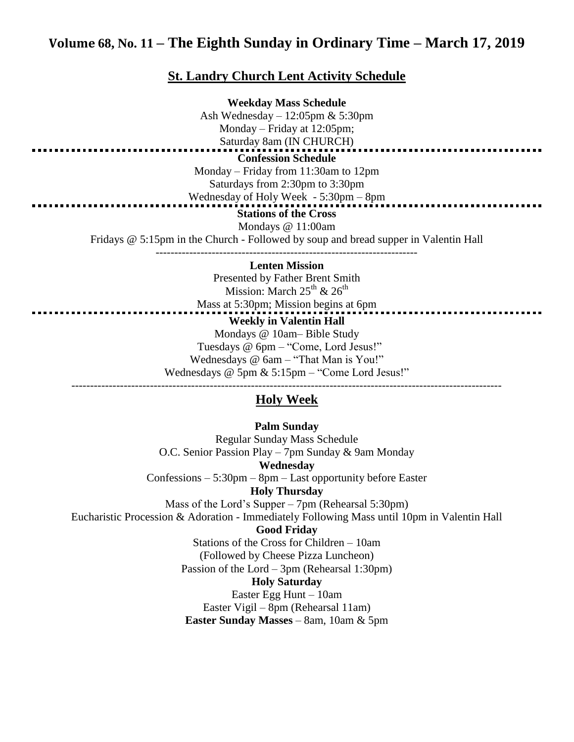## **Volume 68, No. 11 – The Eighth Sunday in Ordinary Time – March 17, 2019**

#### **St. Landry Church Lent Activity Schedule**

**Weekday Mass Schedule** Ash Wednesday – 12:05pm & 5:30pm Monday – Friday at 12:05pm; Saturday 8am (IN CHURCH) **Confession Schedule** Monday – Friday from 11:30am to 12pm Saturdays from 2:30pm to 3:30pm Wednesday of Holy Week - 5:30pm – 8pm **Stations of the Cross** Mondays @ 11:00am Fridays @ 5:15pm in the Church - Followed by soup and bread supper in Valentin Hall ----------------------------------------------------------------------

#### **Lenten Mission**

Presented by Father Brent Smith Mission: March  $25^{th}$  &  $26^{th}$ Mass at 5:30pm; Mission begins at 6pm **Weekly in Valentin Hall** Mondays @ 10am– Bible Study Tuesdays @ 6pm – "Come, Lord Jesus!" Wednesdays @ 6am – "That Man is You!"

Wednesdays @ 5pm & 5:15pm – "Come Lord Jesus!"

## ------------------------------------------------------------------------------------------------------------------- **Holy Week**

**Palm Sunday** Regular Sunday Mass Schedule O.C. Senior Passion Play – 7pm Sunday & 9am Monday **Wednesday** Confessions – 5:30pm – 8pm – Last opportunity before Easter **Holy Thursday** Mass of the Lord's Supper – 7pm (Rehearsal 5:30pm) Eucharistic Procession & Adoration - Immediately Following Mass until 10pm in Valentin Hall **Good Friday** Stations of the Cross for Children – 10am (Followed by Cheese Pizza Luncheon) Passion of the Lord – 3pm (Rehearsal 1:30pm) **Holy Saturday** Easter Egg Hunt – 10am Easter Vigil – 8pm (Rehearsal 11am) **Easter Sunday Masses** – 8am, 10am & 5pm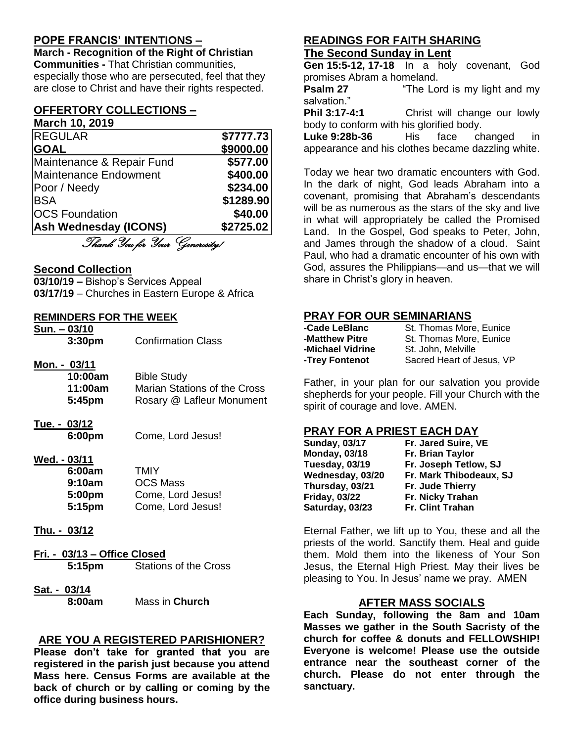## **POPE FRANCIS' INTENTIONS –**

**March - Recognition of the Right of Christian Communities -** That Christian communities, especially those who are persecuted, feel that they are close to Christ and have their rights respected.

#### **OFFERTORY COLLECTIONS – March 10, 2019**

| <b>REGULAR</b>                 | \$7777.73 |
|--------------------------------|-----------|
| <b>GOAL</b>                    | \$9000.00 |
| Maintenance & Repair Fund      | \$577.00  |
| Maintenance Endowment          | \$400.00  |
| Poor / Needy                   | \$234.00  |
| <b>BSA</b>                     | \$1289.90 |
| <b>OCS Foundation</b>          | \$40.00   |
| <b>Ash Wednesday (ICONS)</b>   | \$2725.02 |
| Thank You for Your Generosity! |           |

**Second Collection**

**03/10/19 –** Bishop's Services Appeal **03/17/19** – Churches in Eastern Europe & Africa

#### **REMINDERS FOR THE WEEK**

| <u>Sun. – 03/10</u> |                    |                              |
|---------------------|--------------------|------------------------------|
|                     | 3:30pm             | <b>Confirmation Class</b>    |
| Mon. - 03/11        |                    |                              |
|                     | 10:00am            | <b>Bible Study</b>           |
|                     | 11:00am            | Marian Stations of the Cross |
|                     | 5:45 <sub>pm</sub> | Rosary @ Lafleur Monument    |
| Tue. - 03/12        |                    |                              |
|                     | 6:00pm             | Come, Lord Jesus!            |
| Wed. - 03/11        |                    |                              |
|                     | 6:00am             | TMIY                         |
|                     | 9:10am             | <b>OCS Mass</b>              |
|                     | 5:00pm             | Come, Lord Jesus!            |
|                     | 5:15 <sub>pm</sub> | Come, Lord Jesus!            |
| Thu. - 03/12        |                    |                              |

**Fri. - 03/13 – Office Closed**

**5:15pm** Stations of the Cross

**Sat. - 03/14 8:00am** Mass in **Church**

## **ARE YOU A REGISTERED PARISHIONER?**

**Please don't take for granted that you are registered in the parish just because you attend Mass here. Census Forms are available at the back of church or by calling or coming by the office during business hours.**

### **READINGS FOR FAITH SHARING The Second Sunday in Lent**

**Gen 15:5-12, 17-18** In a holy covenant, God promises Abram a homeland.

**Psalm 27** "The Lord is my light and my salvation."

**Phil 3:17-4:1** Christ will change our lowly body to conform with his glorified body.

**Luke 9:28b-36** His face changed in appearance and his clothes became dazzling white.

Today we hear two dramatic encounters with God. In the dark of night, God leads Abraham into a covenant, promising that Abraham's descendants will be as numerous as the stars of the sky and live in what will appropriately be called the Promised Land. In the Gospel, God speaks to Peter, John, and James through the shadow of a cloud. Saint Paul, who had a dramatic encounter of his own with God, assures the Philippians—and us—that we will share in Christ's glory in heaven.

#### **PRAY FOR OUR SEMINARIANS**

| -Cade LeBlanc    | St. Thomas More, Eunice   |
|------------------|---------------------------|
| -Matthew Pitre   | St. Thomas More, Eunice   |
| -Michael Vidrine | St. John, Melville        |
| -Trey Fontenot   | Sacred Heart of Jesus, VP |

Father, in your plan for our salvation you provide shepherds for your people. Fill your Church with the spirit of courage and love. AMEN.

#### **PRAY FOR A PRIEST EACH DAY**

| <b>Sunday, 03/17</b> | Fr. Jared Suire, VE     |
|----------------------|-------------------------|
| <b>Monday, 03/18</b> | Fr. Brian Taylor        |
| Tuesday, 03/19       | Fr. Joseph Tetlow, SJ   |
| Wednesday, 03/20     | Fr. Mark Thibodeaux, SJ |
| Thursday, 03/21      | <b>Fr. Jude Thierry</b> |
| <b>Friday, 03/22</b> | Fr. Nicky Trahan        |
| Saturday, 03/23      | Fr. Clint Trahan        |

Eternal Father, we lift up to You, these and all the priests of the world. Sanctify them. Heal and guide them. Mold them into the likeness of Your Son Jesus, the Eternal High Priest. May their lives be pleasing to You. In Jesus' name we pray. AMEN

#### **AFTER MASS SOCIALS**

**Each Sunday, following the 8am and 10am Masses we gather in the South Sacristy of the church for coffee & donuts and FELLOWSHIP! Everyone is welcome! Please use the outside entrance near the southeast corner of the church. Please do not enter through the sanctuary.**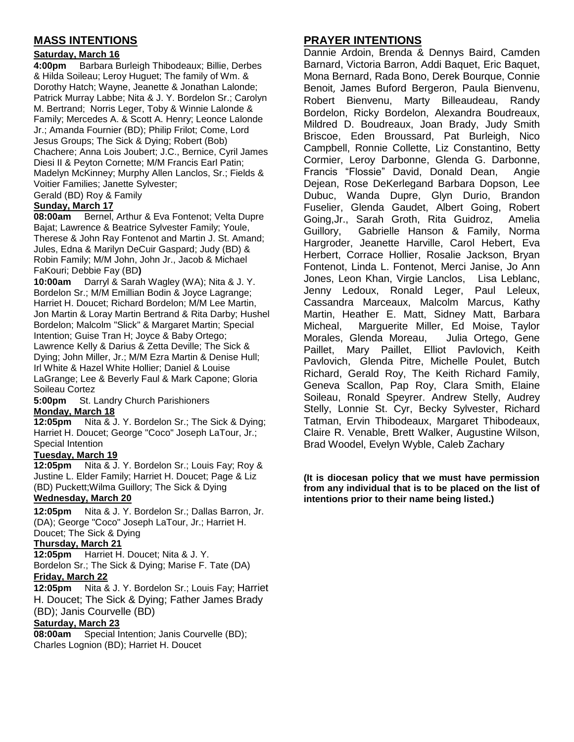## **MASS INTENTIONS**

# Saturday, March 16<br>4:00pm Barbara B

Barbara Burleigh Thibodeaux; Billie, Derbes & Hilda Soileau; Leroy Huguet; The family of Wm. & Dorothy Hatch; Wayne, Jeanette & Jonathan Lalonde; Patrick Murray Labbe; Nita & J. Y. Bordelon Sr.; Carolyn M. Bertrand; Norris Leger, Toby & Winnie Lalonde & Family; Mercedes A. & Scott A. Henry; Leonce Lalonde Jr.; Amanda Fournier (BD); Philip Frilot; Come, Lord Jesus Groups; The Sick & Dying; Robert (Bob) Chachere; Anna Lois Joubert; J.C., Bernice, Cyril James Diesi II & Peyton Cornette; M/M Francis Earl Patin; Madelyn McKinney; Murphy Allen Lanclos, Sr.; Fields & Voitier Families; Janette Sylvester; Gerald (BD) Roy & Family

#### **Sunday, March 17**

**08:00am** Bernel, Arthur & Eva Fontenot; Velta Dupre Bajat; Lawrence & Beatrice Sylvester Family; Youle, Therese & John Ray Fontenot and Martin J. St. Amand; Jules, Edna & Marilyn DeCuir Gaspard; Judy (BD) & Robin Family; M/M John, John Jr., Jacob & Michael FaKouri; Debbie Fay (BD**)**

**10:00am** Darryl & Sarah Wagley (WA); Nita & J. Y. Bordelon Sr.; M/M Emillian Bodin & Joyce Lagrange; Harriet H. Doucet; Richard Bordelon; M/M Lee Martin, Jon Martin & Loray Martin Bertrand & Rita Darby; Hushel Bordelon; Malcolm "Slick" & Margaret Martin; Special Intention; Guise Tran H; Joyce & Baby Ortego; Lawrence Kelly & Darius & Zetta Deville; The Sick & Dying; John Miller, Jr.; M/M Ezra Martin & Denise Hull; Irl White & Hazel White Hollier; Daniel & Louise LaGrange; Lee & Beverly Faul & Mark Capone; Gloria Soileau Cortez

**5:00pm** St. Landry Church Parishioners **Monday, March 18**

**12:05pm** Nita & J. Y. Bordelon Sr.; The Sick & Dying; Harriet H. Doucet; George "Coco" Joseph LaTour, Jr.; Special Intention

#### **Tuesday, March 19**

**12:05pm** Nita & J. Y. Bordelon Sr.; Louis Fay; Roy & Justine L. Elder Family; Harriet H. Doucet; Page & Liz (BD) Puckett;Wilma Guillory; The Sick & Dying

#### **Wednesday, March 20**

**12:05pm** Nita & J. Y. Bordelon Sr.; Dallas Barron, Jr. (DA); George "Coco" Joseph LaTour, Jr.; Harriet H. Doucet; The Sick & Dying

#### **Thursday, March 21**

**12:05pm** Harriet H. Doucet; Nita & J. Y. Bordelon Sr.; The Sick & Dying; Marise F. Tate (DA)

#### **Friday, March 22**

**12:05pm** Nita & J. Y. Bordelon Sr.; Louis Fay; Harriet H. Doucet; The Sick & Dying; Father James Brady (BD); Janis Courvelle (BD)

#### **Saturday, March 23**

**08:00am** Special Intention; Janis Courvelle (BD); Charles Lognion (BD); Harriet H. Doucet

## **PRAYER INTENTIONS**

Dannie Ardoin, Brenda & Dennys Baird, Camden Barnard, Victoria Barron, Addi Baquet, Eric Baquet, Mona Bernard, Rada Bono, Derek Bourque, Connie Benoit, James Buford Bergeron, Paula Bienvenu, Robert Bienvenu, Marty Billeaudeau, Randy Bordelon, Ricky Bordelon, Alexandra Boudreaux, Mildred D. Boudreaux, Joan Brady, Judy Smith Briscoe, Eden Broussard, Pat Burleigh, Nico Campbell, Ronnie Collette, Liz Constantino, Betty Cormier, Leroy Darbonne, Glenda G. Darbonne, Francis "Flossie" David, Donald Dean, Angie Dejean, Rose DeKerlegand Barbara Dopson, Lee Dubuc, Wanda Dupre, Glyn Durio, Brandon Fuselier, Glenda Gaudet, Albert Going, Robert Going,Jr., Sarah Groth, Rita Guidroz, Amelia Guillory, Gabrielle Hanson & Family, Norma Hargroder, Jeanette Harville, Carol Hebert, Eva Herbert, Corrace Hollier, Rosalie Jackson, Bryan Fontenot, Linda L. Fontenot, Merci Janise, Jo Ann Jones, Leon Khan, Virgie Lanclos, Lisa Leblanc, Jenny Ledoux, Ronald Leger, Paul Leleux, Cassandra Marceaux, Malcolm Marcus, Kathy Martin, Heather E. Matt, Sidney Matt, Barbara Micheal, Marguerite Miller, Ed Moise, Taylor Morales, Glenda Moreau, Julia Ortego, Gene Paillet, Mary Paillet, Elliot Pavlovich, Keith Pavlovich, Glenda Pitre, Michelle Poulet, Butch Richard, Gerald Roy, The Keith Richard Family, Geneva Scallon, Pap Roy, Clara Smith, Elaine Soileau, Ronald Speyrer. Andrew Stelly, Audrey Stelly, Lonnie St. Cyr, Becky Sylvester, Richard Tatman, Ervin Thibodeaux, Margaret Thibodeaux, Claire R. Venable, Brett Walker, Augustine Wilson, Brad Woodel, Evelyn Wyble, Caleb Zachary

**(It is diocesan policy that we must have permission from any individual that is to be placed on the list of intentions prior to their name being listed.)**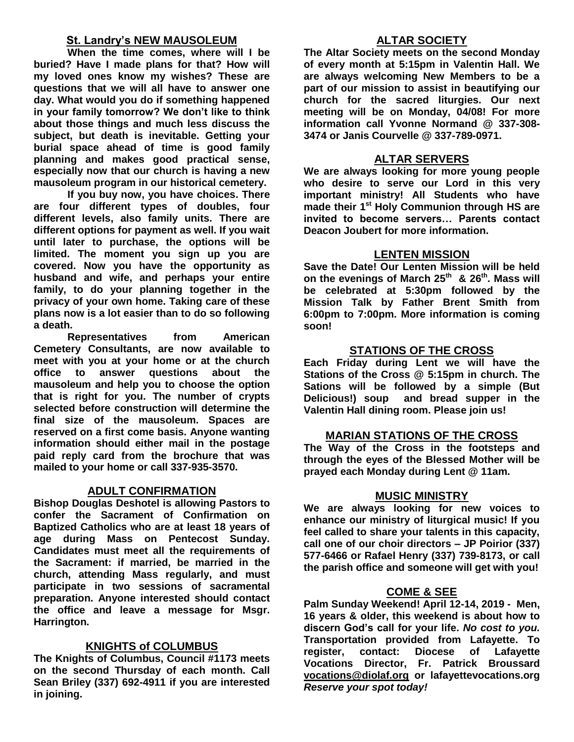## **St. Landry's NEW MAUSOLEUM**

**When the time comes, where will I be buried? Have I made plans for that? How will my loved ones know my wishes? These are questions that we will all have to answer one day. What would you do if something happened in your family tomorrow? We don't like to think about those things and much less discuss the subject, but death is inevitable. Getting your burial space ahead of time is good family planning and makes good practical sense, especially now that our church is having a new mausoleum program in our historical cemetery.**

**If you buy now, you have choices. There are four different types of doubles, four different levels, also family units. There are different options for payment as well. If you wait until later to purchase, the options will be limited. The moment you sign up you are covered. Now you have the opportunity as husband and wife, and perhaps your entire family, to do your planning together in the privacy of your own home. Taking care of these plans now is a lot easier than to do so following a death.**

**Representatives from American Cemetery Consultants, are now available to meet with you at your home or at the church office to answer questions about the mausoleum and help you to choose the option that is right for you. The number of crypts selected before construction will determine the final size of the mausoleum. Spaces are reserved on a first come basis. Anyone wanting information should either mail in the postage paid reply card from the brochure that was mailed to your home or call 337-935-3570.**

## **ADULT CONFIRMATION**

**Bishop Douglas Deshotel is allowing Pastors to confer the Sacrament of Confirmation on Baptized Catholics who are at least 18 years of age during Mass on Pentecost Sunday. Candidates must meet all the requirements of the Sacrament: if married, be married in the church, attending Mass regularly, and must participate in two sessions of sacramental preparation. Anyone interested should contact the office and leave a message for Msgr. Harrington.** 

## **KNIGHTS of COLUMBUS**

**The Knights of Columbus, Council #1173 meets on the second Thursday of each month. Call Sean Briley (337) 692-4911 if you are interested in joining.** 

## **ALTAR SOCIETY**

**The Altar Society meets on the second Monday of every month at 5:15pm in Valentin Hall. We are always welcoming New Members to be a part of our mission to assist in beautifying our church for the sacred liturgies. Our next meeting will be on Monday, 04/08! For more information call Yvonne Normand @ 337-308- 3474 or Janis Courvelle @ 337-789-0971.** 

### **ALTAR SERVERS**

**We are always looking for more young people who desire to serve our Lord in this very important ministry! All Students who have made their 1st Holy Communion through HS are invited to become servers… Parents contact Deacon Joubert for more information.**

#### **LENTEN MISSION**

**Save the Date! Our Lenten Mission will be held on the evenings of March 25th & 26th. Mass will be celebrated at 5:30pm followed by the Mission Talk by Father Brent Smith from 6:00pm to 7:00pm. More information is coming soon!**

#### **STATIONS OF THE CROSS**

**Each Friday during Lent we will have the Stations of the Cross @ 5:15pm in church. The Sations will be followed by a simple (But Delicious!) soup and bread supper in the Valentin Hall dining room. Please join us!**

#### **MARIAN STATIONS OF THE CROSS**

**The Way of the Cross in the footsteps and through the eyes of the Blessed Mother will be prayed each Monday during Lent @ 11am.** 

#### **MUSIC MINISTRY**

**We are always looking for new voices to enhance our ministry of liturgical music! If you feel called to share your talents in this capacity, call one of our choir directors – JP Poirior (337) 577-6466 or Rafael Henry (337) 739-8173, or call the parish office and someone will get with you!**

#### **COME & SEE**

**Palm Sunday Weekend! April 12-14, 2019 - Men, 16 years & older, this weekend is about how to discern God's call for your life.** *No cost to you.*  **Transportation provided from Lafayette. To register, contact: Diocese of Lafayette Vocations Director, Fr. Patrick Broussard [vocations@diolaf.org](mailto:vocations@diolaf.org) or lafayettevocations.org**  *Reserve your spot today!*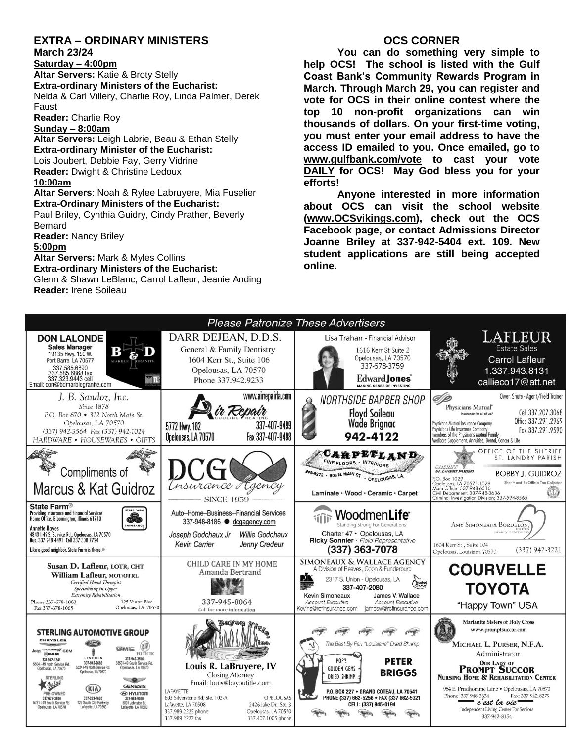## **EXTRA – ORDINARY MINISTERS**

#### **March 23/24**

**Saturday – 4:00pm Altar Servers:** Katie & Broty Stelly **Extra-ordinary Ministers of the Eucharist:**  Nelda & Carl Villery, Charlie Roy, Linda Palmer, Derek Faust

**Reader:** Charlie Roy

#### **Sunday – 8:00am**

**Altar Servers:** Leigh Labrie, Beau & Ethan Stelly **Extra-ordinary Minister of the Eucharist:** Lois Joubert, Debbie Fay, Gerry Vidrine **Reader:** Dwight & Christine Ledoux **10:00am**

**Altar Servers**: Noah & Rylee Labruyere, Mia Fuselier **Extra-Ordinary Ministers of the Eucharist:**

Paul Briley, Cynthia Guidry, Cindy Prather, Beverly Bernard

**Reader:** Nancy Briley

**5:00pm** 

**Altar Servers:** Mark & Myles Collins **Extra-ordinary Ministers of the Eucharist:** Glenn & Shawn LeBlanc, Carrol Lafleur, Jeanie Anding

**Reader:** Irene Soileau

### **OCS CORNER**

**You can do something very simple to help OCS! The school is listed with the Gulf Coast Bank's Community Rewards Program in March. Through March 29, you can register and vote for OCS in their online contest where the top 10 non-profit organizations can win thousands of dollars. On your first-time voting, you must enter your email address to have the access ID emailed to you. Once emailed, go to [www.gulfbank.com/vote](http://www.gulfbank.com/vote) to cast your vote DAILY for OCS! May God bless you for your efforts!**

**Anyone interested in more information about OCS can visit the school website [\(www.OCSvikings.com\)](http://www.ocsvikings.com/), check out the OCS Facebook page, or contact Admissions Director Joanne Briley at 337-942-5404 ext. 109. New student applications are still being accepted online.**